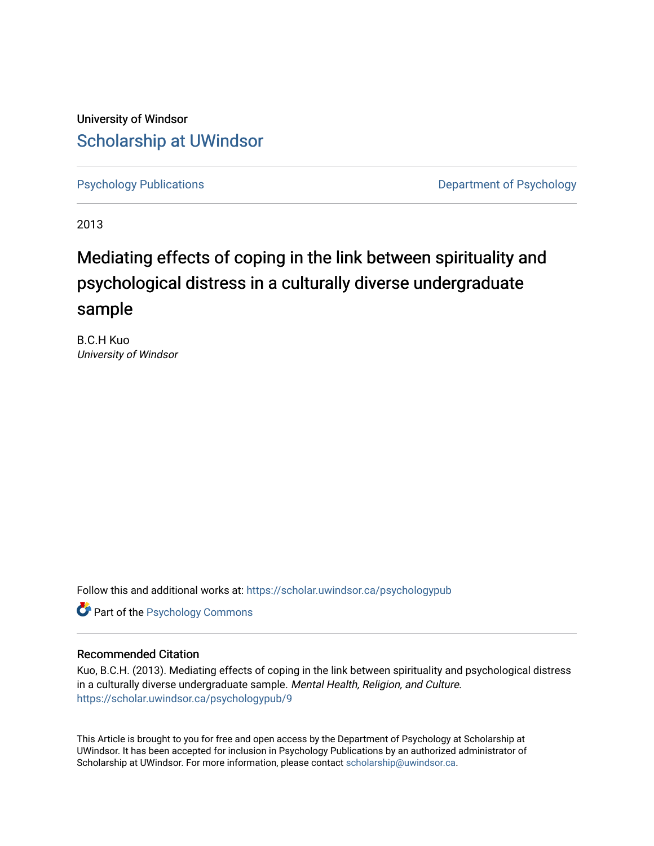University of Windsor [Scholarship at UWindsor](https://scholar.uwindsor.ca/) 

[Psychology Publications](https://scholar.uwindsor.ca/psychologypub) **Department of Psychology** 

2013

# Mediating effects of coping in the link between spirituality and psychological distress in a culturally diverse undergraduate sample

B.C.H Kuo University of Windsor

Follow this and additional works at: [https://scholar.uwindsor.ca/psychologypub](https://scholar.uwindsor.ca/psychologypub?utm_source=scholar.uwindsor.ca%2Fpsychologypub%2F9&utm_medium=PDF&utm_campaign=PDFCoverPages) 

**Part of the Psychology Commons** 

### Recommended Citation

Kuo, B.C.H. (2013). Mediating effects of coping in the link between spirituality and psychological distress in a culturally diverse undergraduate sample. Mental Health, Religion, and Culture. [https://scholar.uwindsor.ca/psychologypub/9](https://scholar.uwindsor.ca/psychologypub/9?utm_source=scholar.uwindsor.ca%2Fpsychologypub%2F9&utm_medium=PDF&utm_campaign=PDFCoverPages) 

This Article is brought to you for free and open access by the Department of Psychology at Scholarship at UWindsor. It has been accepted for inclusion in Psychology Publications by an authorized administrator of Scholarship at UWindsor. For more information, please contact [scholarship@uwindsor.ca.](mailto:scholarship@uwindsor.ca)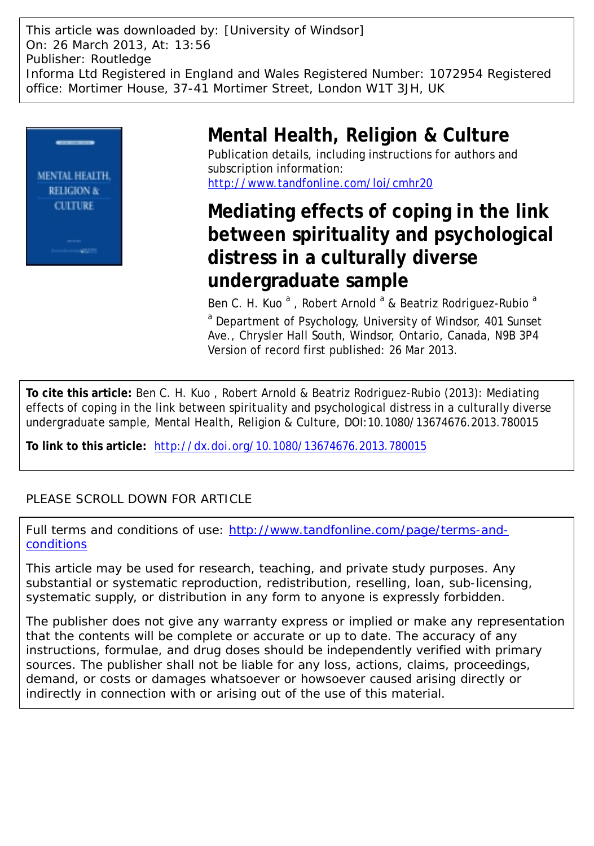This article was downloaded by: [University of Windsor] On: 26 March 2013, At: 13:56 Publisher: Routledge Informa Ltd Registered in England and Wales Registered Number: 1072954 Registered office: Mortimer House, 37-41 Mortimer Street, London W1T 3JH, UK



## **Mental Health, Religion & Culture**

Publication details, including instructions for authors and subscription information: <http://www.tandfonline.com/loi/cmhr20>

## **Mediating effects of coping in the link between spirituality and psychological distress in a culturally diverse undergraduate sample**

Ben C. H. Kuo<sup>a</sup>, Robert Arnold<sup>a</sup> & Beatriz Rodriguez-Rubio<sup>a</sup> <sup>a</sup> Department of Psychology, University of Windsor, 401 Sunset Ave., Chrysler Hall South, Windsor, Ontario, Canada, N9B 3P4 Version of record first published: 26 Mar 2013.

**To cite this article:** Ben C. H. Kuo , Robert Arnold & Beatriz Rodriguez-Rubio (2013): Mediating effects of coping in the link between spirituality and psychological distress in a culturally diverse undergraduate sample, Mental Health, Religion & Culture, DOI:10.1080/13674676.2013.780015

**To link to this article:** <http://dx.doi.org/10.1080/13674676.2013.780015>

## PLEASE SCROLL DOWN FOR ARTICLE

Full terms and conditions of use: [http://www.tandfonline.com/page/terms-and](http://www.tandfonline.com/page/terms-and-conditions)[conditions](http://www.tandfonline.com/page/terms-and-conditions)

This article may be used for research, teaching, and private study purposes. Any substantial or systematic reproduction, redistribution, reselling, loan, sub-licensing, systematic supply, or distribution in any form to anyone is expressly forbidden.

The publisher does not give any warranty express or implied or make any representation that the contents will be complete or accurate or up to date. The accuracy of any instructions, formulae, and drug doses should be independently verified with primary sources. The publisher shall not be liable for any loss, actions, claims, proceedings, demand, or costs or damages whatsoever or howsoever caused arising directly or indirectly in connection with or arising out of the use of this material.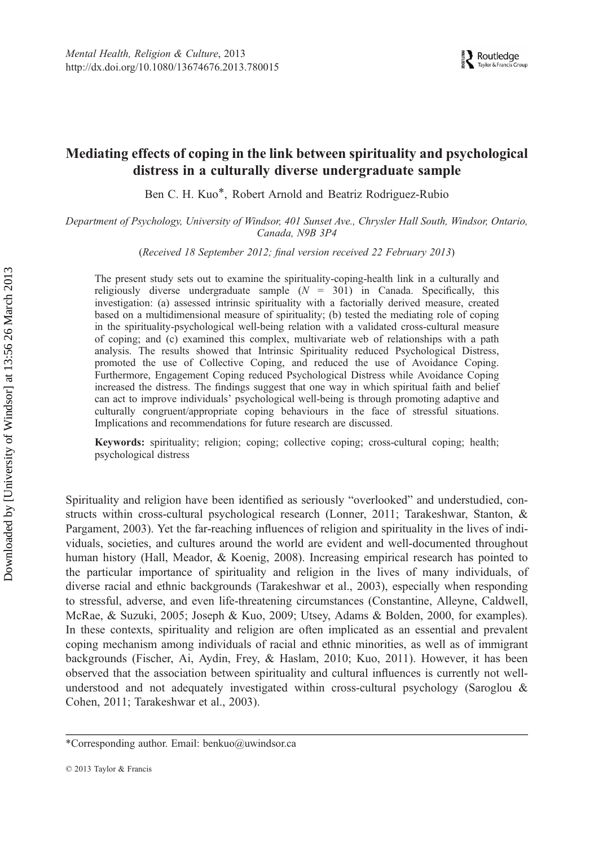### Mediating effects of coping in the link between spirituality and psychological distress in a culturally diverse undergraduate sample

Ben C. H. Kuo\*, Robert Arnold and Beatriz Rodriguez-Rubio

Department of Psychology, University of Windsor, 401 Sunset Ave., Chrysler Hall South, Windsor, Ontario, Canada, N9B 3P4

(Received 18 September 2012; final version received 22 February 2013)

The present study sets out to examine the spirituality-coping-health link in a culturally and religiously diverse undergraduate sample  $(N = 301)$  in Canada. Specifically, this investigation: (a) assessed intrinsic spirituality with a factorially derived measure, created based on a multidimensional measure of spirituality; (b) tested the mediating role of coping in the spirituality-psychological well-being relation with a validated cross-cultural measure of coping; and (c) examined this complex, multivariate web of relationships with a path analysis. The results showed that Intrinsic Spirituality reduced Psychological Distress, promoted the use of Collective Coping, and reduced the use of Avoidance Coping. Furthermore, Engagement Coping reduced Psychological Distress while Avoidance Coping increased the distress. The findings suggest that one way in which spiritual faith and belief can act to improve individuals' psychological well-being is through promoting adaptive and culturally congruent/appropriate coping behaviours in the face of stressful situations. Implications and recommendations for future research are discussed.

Keywords: spirituality; religion; coping; collective coping; cross-cultural coping; health; psychological distress

Spirituality and religion have been identified as seriously "overlooked" and understudied, constructs within cross-cultural psychological research (Lonner, 2011; Tarakeshwar, Stanton, & Pargament, 2003). Yet the far-reaching influences of religion and spirituality in the lives of individuals, societies, and cultures around the world are evident and well-documented throughout human history (Hall, Meador, & Koenig, 2008). Increasing empirical research has pointed to the particular importance of spirituality and religion in the lives of many individuals, of diverse racial and ethnic backgrounds (Tarakeshwar et al., 2003), especially when responding to stressful, adverse, and even life-threatening circumstances (Constantine, Alleyne, Caldwell, McRae, & Suzuki, 2005; Joseph & Kuo, 2009; Utsey, Adams & Bolden, 2000, for examples). In these contexts, spirituality and religion are often implicated as an essential and prevalent coping mechanism among individuals of racial and ethnic minorities, as well as of immigrant backgrounds (Fischer, Ai, Aydin, Frey, & Haslam, 2010; Kuo, 2011). However, it has been observed that the association between spirituality and cultural influences is currently not wellunderstood and not adequately investigated within cross-cultural psychology (Saroglou & Cohen, 2011; Tarakeshwar et al., 2003).

<sup>\*</sup>Corresponding author. Email: benkuo@uwindsor.ca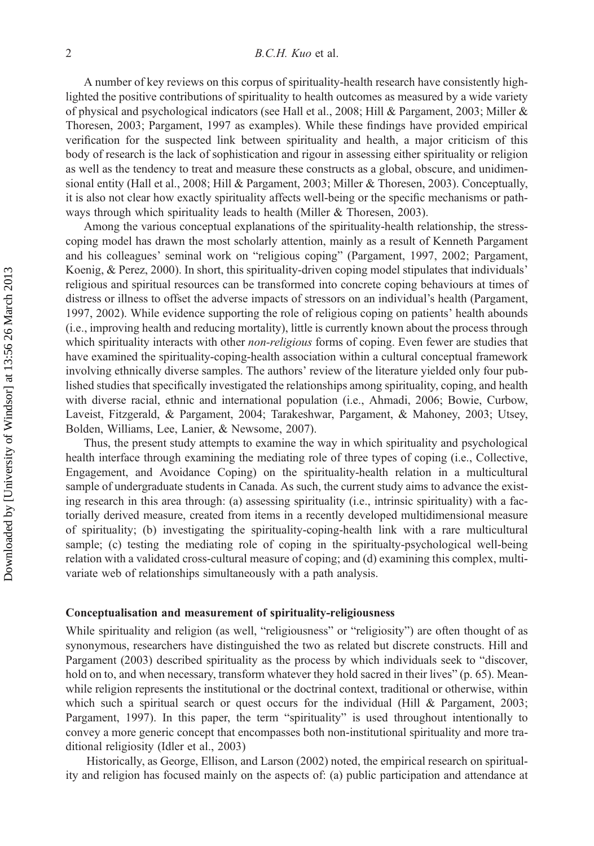#### 2 B.C.H. Kuo et al.

A number of key reviews on this corpus of spirituality-health research have consistently highlighted the positive contributions of spirituality to health outcomes as measured by a wide variety of physical and psychological indicators (see Hall et al., 2008; Hill & Pargament, 2003; Miller & Thoresen, 2003; Pargament, 1997 as examples). While these findings have provided empirical verification for the suspected link between spirituality and health, a major criticism of this body of research is the lack of sophistication and rigour in assessing either spirituality or religion as well as the tendency to treat and measure these constructs as a global, obscure, and unidimensional entity (Hall et al., 2008; Hill & Pargament, 2003; Miller & Thoresen, 2003). Conceptually, it is also not clear how exactly spirituality affects well-being or the specific mechanisms or pathways through which spirituality leads to health (Miller & Thoresen, 2003).

Among the various conceptual explanations of the spirituality-health relationship, the stresscoping model has drawn the most scholarly attention, mainly as a result of Kenneth Pargament and his colleagues' seminal work on "religious coping" (Pargament, 1997, 2002; Pargament, Koenig, & Perez, 2000). In short, this spirituality-driven coping model stipulates that individuals' religious and spiritual resources can be transformed into concrete coping behaviours at times of distress or illness to offset the adverse impacts of stressors on an individual's health (Pargament, 1997, 2002). While evidence supporting the role of religious coping on patients' health abounds (i.e., improving health and reducing mortality), little is currently known about the process through which spirituality interacts with other *non-religious* forms of coping. Even fewer are studies that have examined the spirituality-coping-health association within a cultural conceptual framework involving ethnically diverse samples. The authors' review of the literature yielded only four published studies that specifically investigated the relationships among spirituality, coping, and health with diverse racial, ethnic and international population (i.e., Ahmadi, 2006; Bowie, Curbow, Laveist, Fitzgerald, & Pargament, 2004; Tarakeshwar, Pargament, & Mahoney, 2003; Utsey, Bolden, Williams, Lee, Lanier, & Newsome, 2007).

Thus, the present study attempts to examine the way in which spirituality and psychological health interface through examining the mediating role of three types of coping (i.e., Collective, Engagement, and Avoidance Coping) on the spirituality-health relation in a multicultural sample of undergraduate students in Canada. As such, the current study aims to advance the existing research in this area through: (a) assessing spirituality (i.e., intrinsic spirituality) with a factorially derived measure, created from items in a recently developed multidimensional measure of spirituality; (b) investigating the spirituality-coping-health link with a rare multicultural sample; (c) testing the mediating role of coping in the spiritualty-psychological well-being relation with a validated cross-cultural measure of coping; and (d) examining this complex, multivariate web of relationships simultaneously with a path analysis.

#### Conceptualisation and measurement of spirituality-religiousness

While spirituality and religion (as well, "religiousness" or "religiosity") are often thought of as synonymous, researchers have distinguished the two as related but discrete constructs. Hill and Pargament (2003) described spirituality as the process by which individuals seek to "discover, hold on to, and when necessary, transform whatever they hold sacred in their lives" (p. 65). Meanwhile religion represents the institutional or the doctrinal context, traditional or otherwise, within which such a spiritual search or quest occurs for the individual (Hill & Pargament, 2003; Pargament, 1997). In this paper, the term "spirituality" is used throughout intentionally to convey a more generic concept that encompasses both non-institutional spirituality and more traditional religiosity (Idler et al., 2003)

Historically, as George, Ellison, and Larson (2002) noted, the empirical research on spirituality and religion has focused mainly on the aspects of: (a) public participation and attendance at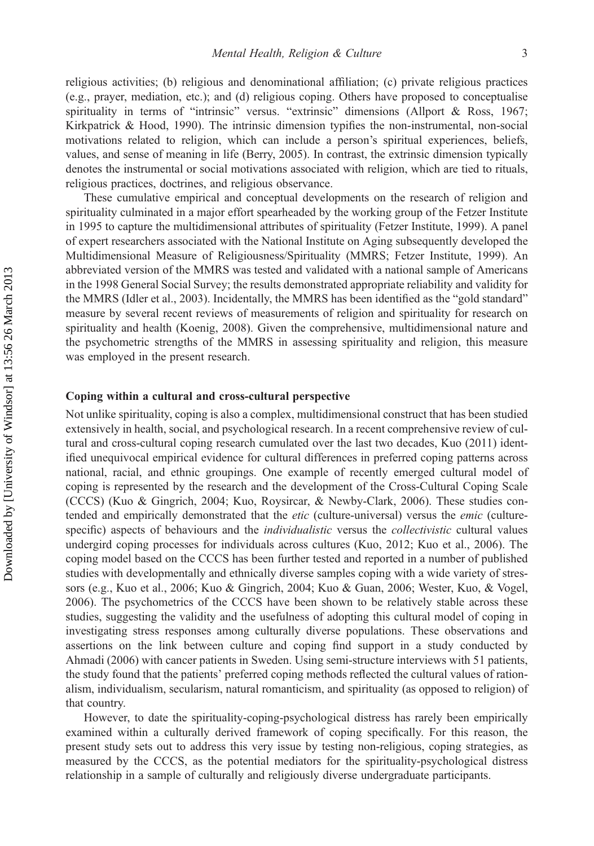religious activities; (b) religious and denominational affiliation; (c) private religious practices (e.g., prayer, mediation, etc.); and (d) religious coping. Others have proposed to conceptualise spirituality in terms of "intrinsic" versus. "extrinsic" dimensions (Allport & Ross, 1967; Kirkpatrick & Hood, 1990). The intrinsic dimension typifies the non-instrumental, non-social motivations related to religion, which can include a person's spiritual experiences, beliefs, values, and sense of meaning in life (Berry, 2005). In contrast, the extrinsic dimension typically denotes the instrumental or social motivations associated with religion, which are tied to rituals, religious practices, doctrines, and religious observance.

These cumulative empirical and conceptual developments on the research of religion and spirituality culminated in a major effort spearheaded by the working group of the Fetzer Institute in 1995 to capture the multidimensional attributes of spirituality (Fetzer Institute, 1999). A panel of expert researchers associated with the National Institute on Aging subsequently developed the Multidimensional Measure of Religiousness/Spirituality (MMRS; Fetzer Institute, 1999). An abbreviated version of the MMRS was tested and validated with a national sample of Americans in the 1998 General Social Survey; the results demonstrated appropriate reliability and validity for the MMRS (Idler et al., 2003). Incidentally, the MMRS has been identified as the "gold standard" measure by several recent reviews of measurements of religion and spirituality for research on spirituality and health (Koenig, 2008). Given the comprehensive, multidimensional nature and the psychometric strengths of the MMRS in assessing spirituality and religion, this measure was employed in the present research.

#### Coping within a cultural and cross-cultural perspective

Not unlike spirituality, coping is also a complex, multidimensional construct that has been studied extensively in health, social, and psychological research. In a recent comprehensive review of cultural and cross-cultural coping research cumulated over the last two decades, Kuo (2011) identified unequivocal empirical evidence for cultural differences in preferred coping patterns across national, racial, and ethnic groupings. One example of recently emerged cultural model of coping is represented by the research and the development of the Cross-Cultural Coping Scale (CCCS) (Kuo & Gingrich, 2004; Kuo, Roysircar, & Newby-Clark, 2006). These studies contended and empirically demonstrated that the etic (culture-universal) versus the emic (culturespecific) aspects of behaviours and the *individualistic* versus the *collectivistic* cultural values undergird coping processes for individuals across cultures (Kuo, 2012; Kuo et al., 2006). The coping model based on the CCCS has been further tested and reported in a number of published studies with developmentally and ethnically diverse samples coping with a wide variety of stressors (e.g., Kuo et al., 2006; Kuo & Gingrich, 2004; Kuo & Guan, 2006; Wester, Kuo, & Vogel, 2006). The psychometrics of the CCCS have been shown to be relatively stable across these studies, suggesting the validity and the usefulness of adopting this cultural model of coping in investigating stress responses among culturally diverse populations. These observations and assertions on the link between culture and coping find support in a study conducted by Ahmadi (2006) with cancer patients in Sweden. Using semi-structure interviews with 51 patients, the study found that the patients' preferred coping methods reflected the cultural values of rationalism, individualism, secularism, natural romanticism, and spirituality (as opposed to religion) of that country.

However, to date the spirituality-coping-psychological distress has rarely been empirically examined within a culturally derived framework of coping specifically. For this reason, the present study sets out to address this very issue by testing non-religious, coping strategies, as measured by the CCCS, as the potential mediators for the spirituality-psychological distress relationship in a sample of culturally and religiously diverse undergraduate participants.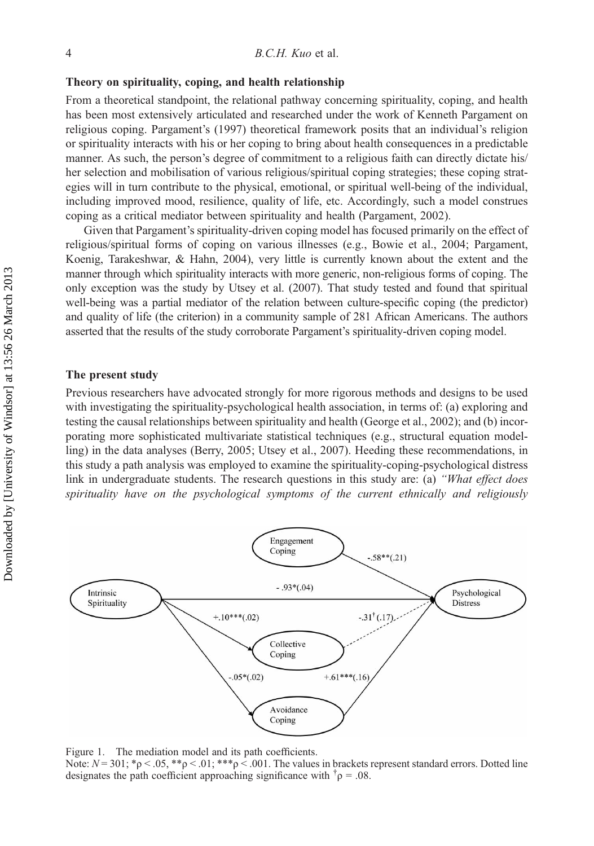#### Theory on spirituality, coping, and health relationship

From a theoretical standpoint, the relational pathway concerning spirituality, coping, and health has been most extensively articulated and researched under the work of Kenneth Pargament on religious coping. Pargament's (1997) theoretical framework posits that an individual's religion or spirituality interacts with his or her coping to bring about health consequences in a predictable manner. As such, the person's degree of commitment to a religious faith can directly dictate his/ her selection and mobilisation of various religious/spiritual coping strategies; these coping strategies will in turn contribute to the physical, emotional, or spiritual well-being of the individual, including improved mood, resilience, quality of life, etc. Accordingly, such a model construes coping as a critical mediator between spirituality and health (Pargament, 2002).

Given that Pargament's spirituality-driven coping model has focused primarily on the effect of religious/spiritual forms of coping on various illnesses (e.g., Bowie et al., 2004; Pargament, Koenig, Tarakeshwar, & Hahn, 2004), very little is currently known about the extent and the manner through which spirituality interacts with more generic, non-religious forms of coping. The only exception was the study by Utsey et al. (2007). That study tested and found that spiritual well-being was a partial mediator of the relation between culture-specific coping (the predictor) and quality of life (the criterion) in a community sample of 281 African Americans. The authors asserted that the results of the study corroborate Pargament's spirituality-driven coping model.

#### The present study

Previous researchers have advocated strongly for more rigorous methods and designs to be used with investigating the spirituality-psychological health association, in terms of: (a) exploring and testing the causal relationships between spirituality and health (George et al., 2002); and (b) incorporating more sophisticated multivariate statistical techniques (e.g., structural equation modelling) in the data analyses (Berry, 2005; Utsey et al., 2007). Heeding these recommendations, in this study a path analysis was employed to examine the spirituality-coping-psychological distress link in undergraduate students. The research questions in this study are: (a) "What effect does spirituality have on the psychological symptoms of the current ethnically and religiously



Figure 1. The mediation model and its path coefficients.

Note:  $N = 301$ ;  ${}^*p < .05$ ,  ${}^*p < .01$ ;  ${}^*{}^*p < .001$ . The values in brackets represent standard errors. Dotted line designates the path coefficient approaching significance with  $\phi = .08$ .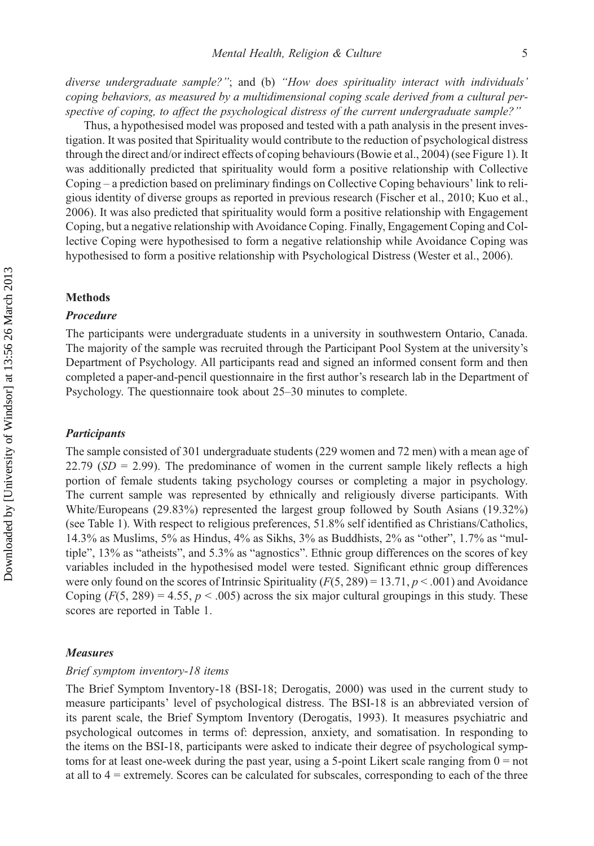diverse undergraduate sample?"; and (b) "How does spirituality interact with individuals" coping behaviors, as measured by a multidimensional coping scale derived from a cultural perspective of coping, to affect the psychological distress of the current undergraduate sample?"

Thus, a hypothesised model was proposed and tested with a path analysis in the present investigation. It was posited that Spirituality would contribute to the reduction of psychological distress through the direct and/or indirect effects of coping behaviours (Bowie et al., 2004) (see Figure 1). It was additionally predicted that spirituality would form a positive relationship with Collective Coping – a prediction based on preliminary findings on Collective Coping behaviours' link to religious identity of diverse groups as reported in previous research (Fischer et al., 2010; Kuo et al., 2006). It was also predicted that spirituality would form a positive relationship with Engagement Coping, but a negative relationship with Avoidance Coping. Finally, Engagement Coping and Collective Coping were hypothesised to form a negative relationship while Avoidance Coping was hypothesised to form a positive relationship with Psychological Distress (Wester et al., 2006).

#### **Methods**

#### Procedure

The participants were undergraduate students in a university in southwestern Ontario, Canada. The majority of the sample was recruited through the Participant Pool System at the university's Department of Psychology. All participants read and signed an informed consent form and then completed a paper-and-pencil questionnaire in the first author's research lab in the Department of Psychology. The questionnaire took about 25–30 minutes to complete.

#### **Participants**

The sample consisted of 301 undergraduate students (229 women and 72 men) with a mean age of 22.79 ( $SD = 2.99$ ). The predominance of women in the current sample likely reflects a high portion of female students taking psychology courses or completing a major in psychology. The current sample was represented by ethnically and religiously diverse participants. With White/Europeans (29.83%) represented the largest group followed by South Asians (19.32%) (see Table 1). With respect to religious preferences, 51.8% self identified as Christians/Catholics, 14.3% as Muslims, 5% as Hindus, 4% as Sikhs, 3% as Buddhists, 2% as "other", 1.7% as "multiple", 13% as "atheists", and 5.3% as "agnostics". Ethnic group differences on the scores of key variables included in the hypothesised model were tested. Significant ethnic group differences were only found on the scores of Intrinsic Spirituality  $(F(5, 289) = 13.71, p \lt 0.001)$  and Avoidance Coping  $(F(5, 289) = 4.55, p < .005)$  across the six major cultural groupings in this study. These scores are reported in Table 1.

#### Measures

#### Brief symptom inventory-18 items

The Brief Symptom Inventory-18 (BSI-18; Derogatis, 2000) was used in the current study to measure participants' level of psychological distress. The BSI-18 is an abbreviated version of its parent scale, the Brief Symptom Inventory (Derogatis, 1993). It measures psychiatric and psychological outcomes in terms of: depression, anxiety, and somatisation. In responding to the items on the BSI-18, participants were asked to indicate their degree of psychological symptoms for at least one-week during the past year, using a 5-point Likert scale ranging from  $0 = not$ at all to 4 = extremely. Scores can be calculated for subscales, corresponding to each of the three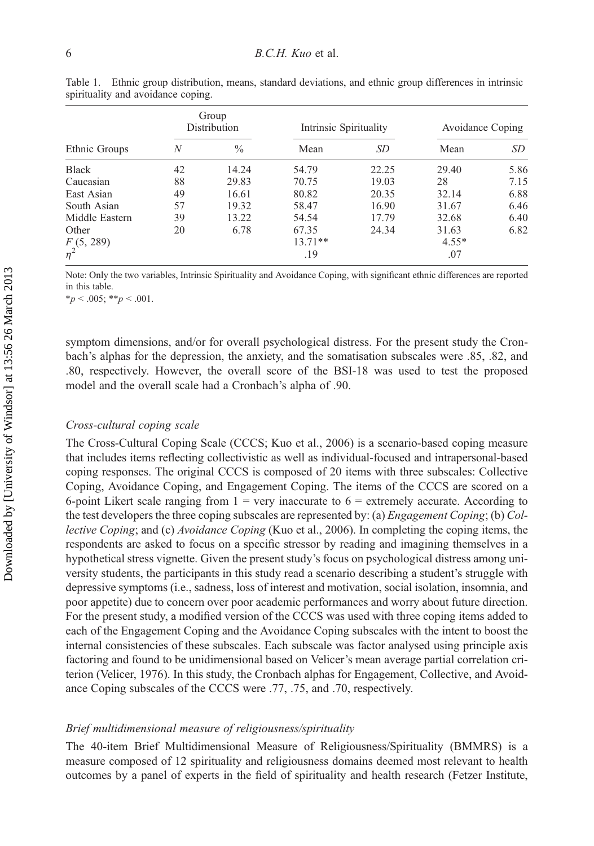| Ethnic Groups              | Group<br>Distribution |       | Intrinsic Spirituality |       | Avoidance Coping |      |
|----------------------------|-----------------------|-------|------------------------|-------|------------------|------|
|                            | N                     | $\%$  | Mean                   | SD    | Mean             | SD   |
| Black                      | 42                    | 14.24 | 54.79                  | 22.25 | 29.40            | 5.86 |
| Caucasian                  | 88                    | 29.83 | 70.75                  | 19.03 | 28               | 7.15 |
| East Asian                 | 49                    | 16.61 | 80.82                  | 20.35 | 32.14            | 6.88 |
| South Asian                | 57                    | 19.32 | 58.47                  | 16.90 | 31.67            | 6.46 |
| Middle Eastern             | 39                    | 13.22 | 54.54                  | 17.79 | 32.68            | 6.40 |
| Other                      | 20                    | 6.78  | 67.35                  | 24.34 | 31.63            | 6.82 |
|                            |                       |       | $13.71**$              |       | $4.55*$          |      |
| $\frac{F(5, 289)}{\eta^2}$ |                       |       | .19                    |       | .07              |      |

Table 1. Ethnic group distribution, means, standard deviations, and ethnic group differences in intrinsic spirituality and avoidance coping.

Note: Only the two variables, Intrinsic Spirituality and Avoidance Coping, with significant ethnic differences are reported in this table.

 $*_p$  < .005;  $*_p$  < .001.

symptom dimensions, and/or for overall psychological distress. For the present study the Cronbach's alphas for the depression, the anxiety, and the somatisation subscales were .85, .82, and .80, respectively. However, the overall score of the BSI-18 was used to test the proposed model and the overall scale had a Cronbach's alpha of .90.

#### Cross-cultural coping scale

The Cross-Cultural Coping Scale (CCCS; Kuo et al., 2006) is a scenario-based coping measure that includes items reflecting collectivistic as well as individual-focused and intrapersonal-based coping responses. The original CCCS is composed of 20 items with three subscales: Collective Coping, Avoidance Coping, and Engagement Coping. The items of the CCCS are scored on a 6-point Likert scale ranging from  $1 =$  very inaccurate to  $6 =$  extremely accurate. According to the test developers the three coping subscales are represented by: (a) Engagement Coping; (b) Collective Coping; and (c) Avoidance Coping (Kuo et al., 2006). In completing the coping items, the respondents are asked to focus on a specific stressor by reading and imagining themselves in a hypothetical stress vignette. Given the present study's focus on psychological distress among university students, the participants in this study read a scenario describing a student's struggle with depressive symptoms (i.e., sadness, loss of interest and motivation, social isolation, insomnia, and poor appetite) due to concern over poor academic performances and worry about future direction. For the present study, a modified version of the CCCS was used with three coping items added to each of the Engagement Coping and the Avoidance Coping subscales with the intent to boost the internal consistencies of these subscales. Each subscale was factor analysed using principle axis factoring and found to be unidimensional based on Velicer's mean average partial correlation criterion (Velicer, 1976). In this study, the Cronbach alphas for Engagement, Collective, and Avoidance Coping subscales of the CCCS were .77, .75, and .70, respectively.

#### Brief multidimensional measure of religiousness/spirituality

The 40-item Brief Multidimensional Measure of Religiousness/Spirituality (BMMRS) is a measure composed of 12 spirituality and religiousness domains deemed most relevant to health outcomes by a panel of experts in the field of spirituality and health research (Fetzer Institute,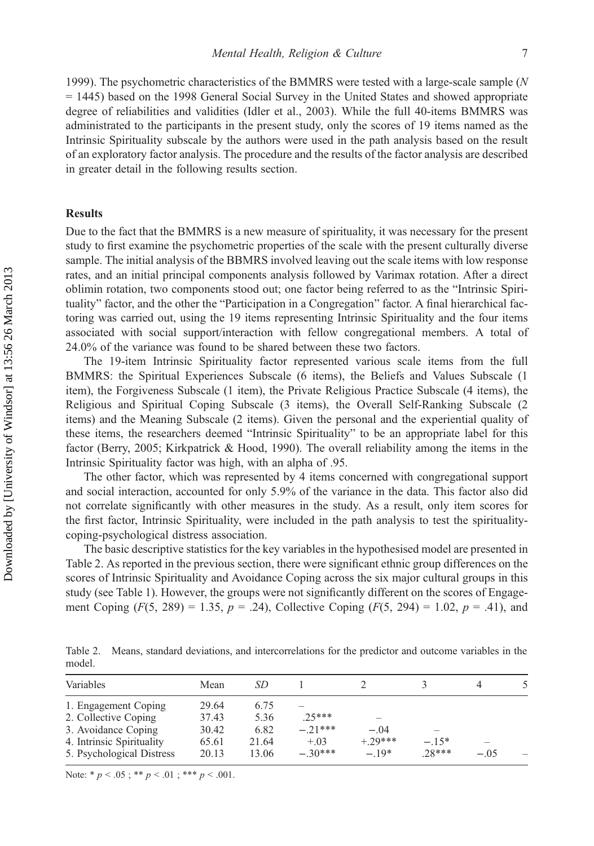1999). The psychometric characteristics of the BMMRS were tested with a large-scale sample (N = 1445) based on the 1998 General Social Survey in the United States and showed appropriate degree of reliabilities and validities (Idler et al., 2003). While the full 40-items BMMRS was administrated to the participants in the present study, only the scores of 19 items named as the Intrinsic Spirituality subscale by the authors were used in the path analysis based on the result of an exploratory factor analysis. The procedure and the results of the factor analysis are described in greater detail in the following results section.

#### **Results**

Due to the fact that the BMMRS is a new measure of spirituality, it was necessary for the present study to first examine the psychometric properties of the scale with the present culturally diverse sample. The initial analysis of the BBMRS involved leaving out the scale items with low response rates, and an initial principal components analysis followed by Varimax rotation. After a direct oblimin rotation, two components stood out; one factor being referred to as the "Intrinsic Spirituality" factor, and the other the "Participation in a Congregation" factor. A final hierarchical factoring was carried out, using the 19 items representing Intrinsic Spirituality and the four items associated with social support/interaction with fellow congregational members. A total of 24.0% of the variance was found to be shared between these two factors.

The 19-item Intrinsic Spirituality factor represented various scale items from the full BMMRS: the Spiritual Experiences Subscale (6 items), the Beliefs and Values Subscale (1 item), the Forgiveness Subscale (1 item), the Private Religious Practice Subscale (4 items), the Religious and Spiritual Coping Subscale (3 items), the Overall Self-Ranking Subscale (2 items) and the Meaning Subscale (2 items). Given the personal and the experiential quality of these items, the researchers deemed "Intrinsic Spirituality" to be an appropriate label for this factor (Berry, 2005; Kirkpatrick & Hood, 1990). The overall reliability among the items in the Intrinsic Spirituality factor was high, with an alpha of .95.

The other factor, which was represented by 4 items concerned with congregational support and social interaction, accounted for only 5.9% of the variance in the data. This factor also did not correlate significantly with other measures in the study. As a result, only item scores for the first factor, Intrinsic Spirituality, were included in the path analysis to test the spiritualitycoping-psychological distress association.

The basic descriptive statistics for the key variables in the hypothesised model are presented in Table 2. As reported in the previous section, there were significant ethnic group differences on the scores of Intrinsic Spirituality and Avoidance Coping across the six major cultural groups in this study (see Table 1). However, the groups were not significantly different on the scores of Engagement Coping  $(F(5, 289) = 1.35, p = .24)$ , Collective Coping  $(F(5, 294) = 1.02, p = .41)$ , and

Table 2. Means, standard deviations, and intercorrelations for the predictor and outcome variables in the model.

| Variables                                                                                                                     | Mean                                      | SD                                     |                                             |                               |                     |        |  |
|-------------------------------------------------------------------------------------------------------------------------------|-------------------------------------------|----------------------------------------|---------------------------------------------|-------------------------------|---------------------|--------|--|
| 1. Engagement Coping<br>2. Collective Coping<br>3. Avoidance Coping<br>4. Intrinsic Spirituality<br>5. Psychological Distress | 29.64<br>37.43<br>30.42<br>65.61<br>20.13 | 6.75<br>5.36<br>6.82<br>21.64<br>13.06 | $25***$<br>$-.21***$<br>$+.03$<br>$-.30***$ | $-.04$<br>$+.29***$<br>$-19*$ | $-.15*$<br>$.28***$ | $-.05$ |  |

Note: \*  $p < .05$ ; \*\*  $p < .01$ ; \*\*\*  $p < .001$ .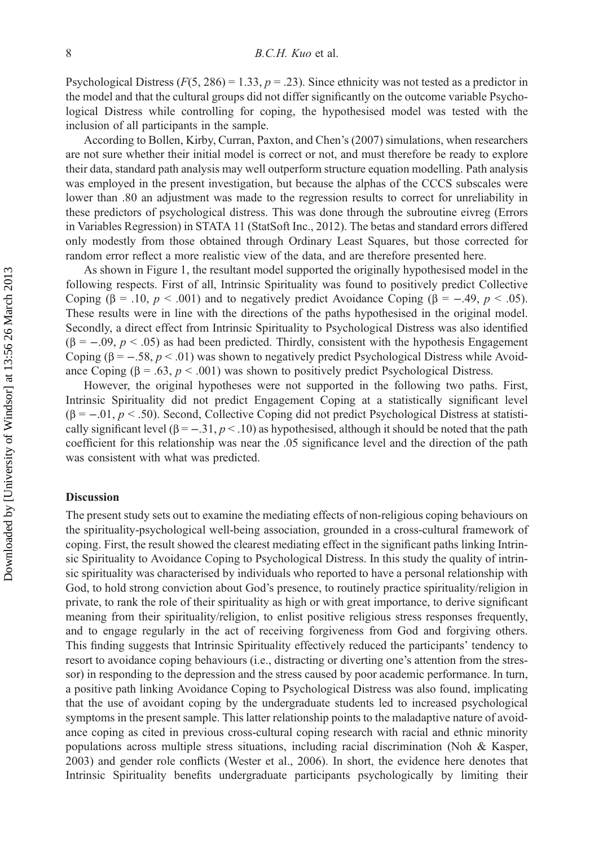Psychological Distress  $(F(5, 286) = 1.33, p = .23)$ . Since ethnicity was not tested as a predictor in the model and that the cultural groups did not differ significantly on the outcome variable Psychological Distress while controlling for coping, the hypothesised model was tested with the inclusion of all participants in the sample.

According to Bollen, Kirby, Curran, Paxton, and Chen's (2007) simulations, when researchers are not sure whether their initial model is correct or not, and must therefore be ready to explore their data, standard path analysis may well outperform structure equation modelling. Path analysis was employed in the present investigation, but because the alphas of the CCCS subscales were lower than .80 an adjustment was made to the regression results to correct for unreliability in these predictors of psychological distress. This was done through the subroutine eivreg (Errors in Variables Regression) in STATA 11 (StatSoft Inc., 2012). The betas and standard errors differed only modestly from those obtained through Ordinary Least Squares, but those corrected for random error reflect a more realistic view of the data, and are therefore presented here.

As shown in Figure 1, the resultant model supported the originally hypothesised model in the following respects. First of all, Intrinsic Spirituality was found to positively predict Collective Coping ( $\beta = .10$ ,  $p < .001$ ) and to negatively predict Avoidance Coping ( $\beta = -.49$ ,  $p < .05$ ). These results were in line with the directions of the paths hypothesised in the original model. Secondly, a direct effect from Intrinsic Spirituality to Psychological Distress was also identified  $(\beta = -.09, p < .05)$  as had been predicted. Thirdly, consistent with the hypothesis Engagement Coping  $(\beta = -.58, p < .01)$  was shown to negatively predict Psychological Distress while Avoidance Coping ( $\beta = .63$ ,  $p < .001$ ) was shown to positively predict Psychological Distress.

However, the original hypotheses were not supported in the following two paths. First, Intrinsic Spirituality did not predict Engagement Coping at a statistically significant level  $(\beta = -.01, p < .50)$ . Second, Collective Coping did not predict Psychological Distress at statistically significant level ( $\beta = -.31, p < .10$ ) as hypothesised, although it should be noted that the path coefficient for this relationship was near the .05 significance level and the direction of the path was consistent with what was predicted.

#### **Discussion**

The present study sets out to examine the mediating effects of non-religious coping behaviours on the spirituality-psychological well-being association, grounded in a cross-cultural framework of coping. First, the result showed the clearest mediating effect in the significant paths linking Intrinsic Spirituality to Avoidance Coping to Psychological Distress. In this study the quality of intrinsic spirituality was characterised by individuals who reported to have a personal relationship with God, to hold strong conviction about God's presence, to routinely practice spirituality/religion in private, to rank the role of their spirituality as high or with great importance, to derive significant meaning from their spirituality/religion, to enlist positive religious stress responses frequently, and to engage regularly in the act of receiving forgiveness from God and forgiving others. This finding suggests that Intrinsic Spirituality effectively reduced the participants' tendency to resort to avoidance coping behaviours (i.e., distracting or diverting one's attention from the stressor) in responding to the depression and the stress caused by poor academic performance. In turn, a positive path linking Avoidance Coping to Psychological Distress was also found, implicating that the use of avoidant coping by the undergraduate students led to increased psychological symptoms in the present sample. This latter relationship points to the maladaptive nature of avoidance coping as cited in previous cross-cultural coping research with racial and ethnic minority populations across multiple stress situations, including racial discrimination (Noh & Kasper, 2003) and gender role conflicts (Wester et al., 2006). In short, the evidence here denotes that Intrinsic Spirituality benefits undergraduate participants psychologically by limiting their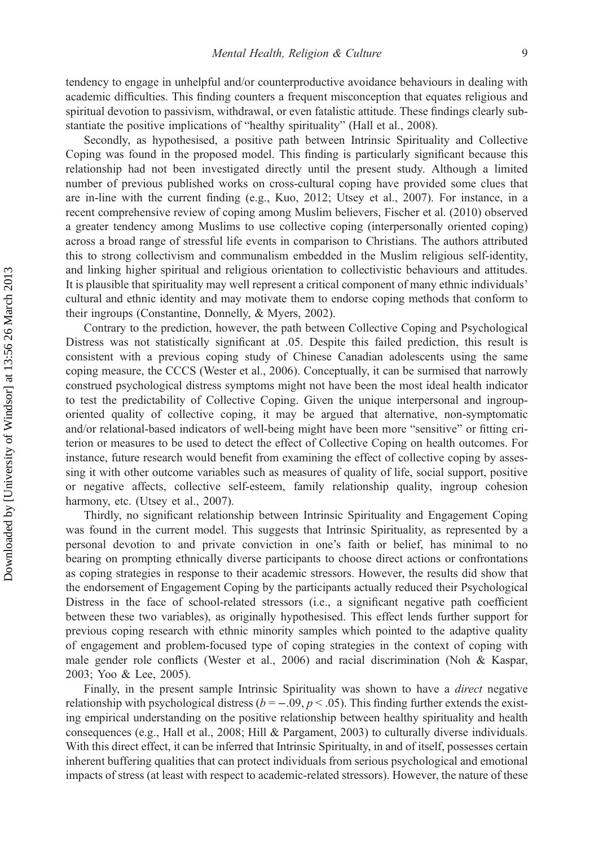tendency to engage in unhelpful and/or counterproductive avoidance behaviours in dealing with academic difficulties. This finding counters a frequent misconception that equates religious and spiritual devotion to passivism, withdrawal, or even fatalistic attitude. These findings clearly substantiate the positive implications of "healthy spirituality" (Hall et al., 2008).

Secondly, as hypothesised, a positive path between Intrinsic Spirituality and Collective Coping was found in the proposed model. This finding is particularly significant because this relationship had not been investigated directly until the present study. Although a limited number of previous published works on cross-cultural coping have provided some clues that are in-line with the current finding (e.g., Kuo, 2012; Utsey et al., 2007). For instance, in a recent comprehensive review of coping among Muslim believers, Fischer et al. (2010) observed a greater tendency among Muslims to use collective coping (interpersonally oriented coping) across a broad range of stressful life events in comparison to Christians. The authors attributed this to strong collectivism and communalism embedded in the Muslim religious self-identity, and linking higher spiritual and religious orientation to collectivistic behaviours and attitudes. It is plausible that spirituality may well represent a critical component of many ethnic individuals' cultural and ethnic identity and may motivate them to endorse coping methods that conform to their ingroups (Constantine, Donnelly, & Myers, 2002).

Contrary to the prediction, however, the path between Collective Coping and Psychological Distress was not statistically significant at .05. Despite this failed prediction, this result is consistent with a previous coping study of Chinese Canadian adolescents using the same coping measure, the CCCS (Wester et al., 2006). Conceptually, it can be surmised that narrowly construed psychological distress symptoms might not have been the most ideal health indicator to test the predictability of Collective Coping. Given the unique interpersonal and ingrouporiented quality of collective coping, it may be argued that alternative, non-symptomatic and/or relational-based indicators of well-being might have been more "sensitive" or fitting criterion or measures to be used to detect the effect of Collective Coping on health outcomes. For instance, future research would benefit from examining the effect of collective coping by assessing it with other outcome variables such as measures of quality of life, social support, positive or negative affects, collective self-esteem, family relationship quality, ingroup cohesion harmony, etc. (Utsey et al., 2007).

Thirdly, no significant relationship between Intrinsic Spirituality and Engagement Coping was found in the current model. This suggests that Intrinsic Spirituality, as represented by a personal devotion to and private conviction in one's faith or belief, has minimal to no bearing on prompting ethnically diverse participants to choose direct actions or confrontations as coping strategies in response to their academic stressors. However, the results did show that the endorsement of Engagement Coping by the participants actually reduced their Psychological Distress in the face of school-related stressors (i.e., a significant negative path coefficient between these two variables), as originally hypothesised. This effect lends further support for previous coping research with ethnic minority samples which pointed to the adaptive quality of engagement and problem-focused type of coping strategies in the context of coping with male gender role conflicts (Wester et al., 2006) and racial discrimination (Noh & Kaspar, 2003; Yoo & Lee, 2005).

Finally, in the present sample Intrinsic Spirituality was shown to have a *direct* negative relationship with psychological distress ( $b = -.09$ ,  $p < .05$ ). This finding further extends the existing empirical understanding on the positive relationship between healthy spirituality and health consequences (e.g., Hall et al., 2008; Hill & Pargament, 2003) to culturally diverse individuals. With this direct effect, it can be inferred that Intrinsic Spiritualty, in and of itself, possesses certain inherent buffering qualities that can protect individuals from serious psychological and emotional impacts of stress (at least with respect to academic-related stressors). However, the nature of these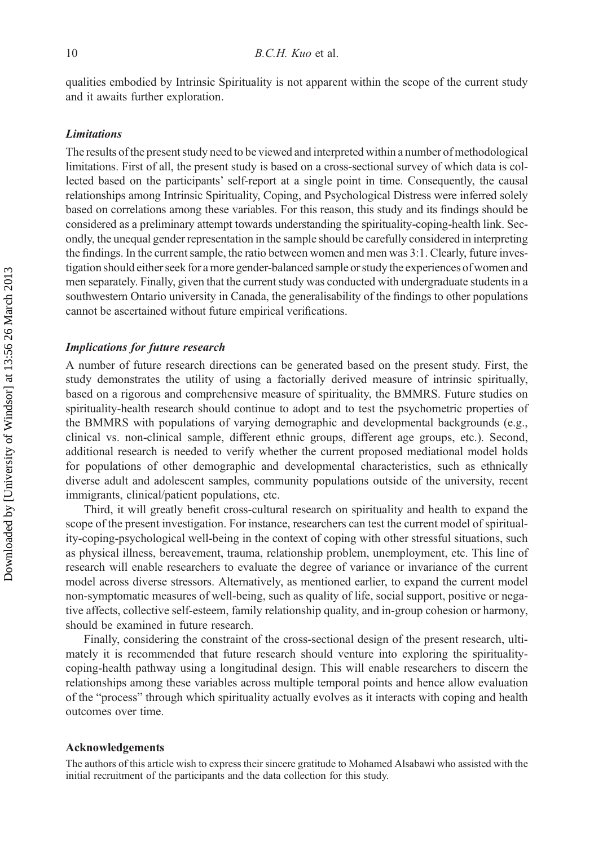qualities embodied by Intrinsic Spirituality is not apparent within the scope of the current study and it awaits further exploration.

#### **Limitations**

The results of the present study need to be viewed and interpreted within a number of methodological limitations. First of all, the present study is based on a cross-sectional survey of which data is collected based on the participants' self-report at a single point in time. Consequently, the causal relationships among Intrinsic Spirituality, Coping, and Psychological Distress were inferred solely based on correlations among these variables. For this reason, this study and its findings should be considered as a preliminary attempt towards understanding the spirituality-coping-health link. Secondly, the unequal gender representation in the sample should be carefully considered in interpreting the findings. In the current sample, the ratio between women and men was 3:1. Clearly, future investigation should either seek for a more gender-balanced sample or study the experiences of women and men separately. Finally, given that the current study was conducted with undergraduate students in a southwestern Ontario university in Canada, the generalisability of the findings to other populations cannot be ascertained without future empirical verifications.

#### Implications for future research

A number of future research directions can be generated based on the present study. First, the study demonstrates the utility of using a factorially derived measure of intrinsic spiritually, based on a rigorous and comprehensive measure of spirituality, the BMMRS. Future studies on spirituality-health research should continue to adopt and to test the psychometric properties of the BMMRS with populations of varying demographic and developmental backgrounds (e.g., clinical vs. non-clinical sample, different ethnic groups, different age groups, etc.). Second, additional research is needed to verify whether the current proposed mediational model holds for populations of other demographic and developmental characteristics, such as ethnically diverse adult and adolescent samples, community populations outside of the university, recent immigrants, clinical/patient populations, etc.

Third, it will greatly benefit cross-cultural research on spirituality and health to expand the scope of the present investigation. For instance, researchers can test the current model of spirituality-coping-psychological well-being in the context of coping with other stressful situations, such as physical illness, bereavement, trauma, relationship problem, unemployment, etc. This line of research will enable researchers to evaluate the degree of variance or invariance of the current model across diverse stressors. Alternatively, as mentioned earlier, to expand the current model non-symptomatic measures of well-being, such as quality of life, social support, positive or negative affects, collective self-esteem, family relationship quality, and in-group cohesion or harmony, should be examined in future research.

Finally, considering the constraint of the cross-sectional design of the present research, ultimately it is recommended that future research should venture into exploring the spiritualitycoping-health pathway using a longitudinal design. This will enable researchers to discern the relationships among these variables across multiple temporal points and hence allow evaluation of the "process" through which spirituality actually evolves as it interacts with coping and health outcomes over time.

#### Acknowledgements

The authors of this article wish to express their sincere gratitude to Mohamed Alsabawi who assisted with the initial recruitment of the participants and the data collection for this study.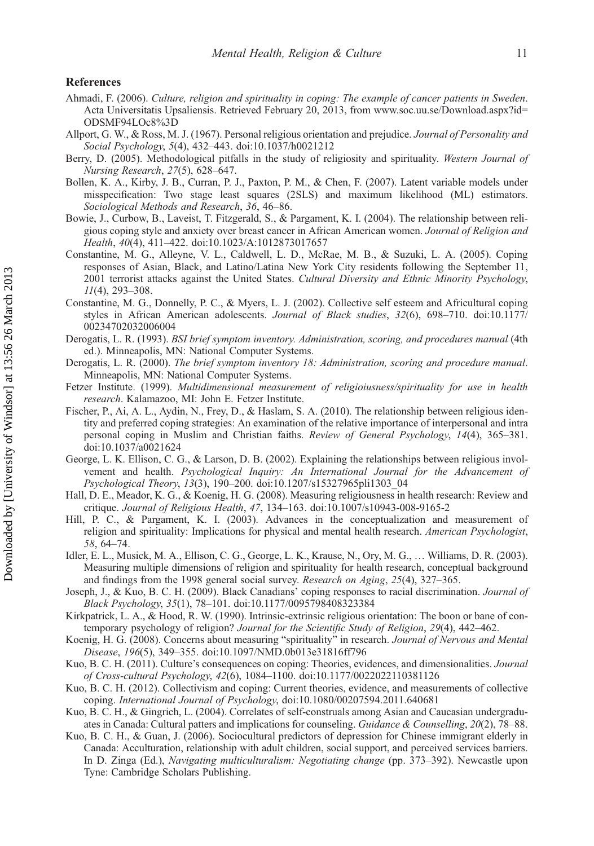#### References

- Ahmadi, F. (2006). Culture, religion and spirituality in coping: The example of cancer patients in Sweden. Acta Universitatis Upsaliensis. Retrieved February 20, 2013, from [www.soc.uu.se/Download.aspx?id=](www.soc.uu.se/Download.aspx?id=ODSMF94LOc8%3D) [ODSMF94LOc8%3D](www.soc.uu.se/Download.aspx?id=ODSMF94LOc8%3D)
- Allport, G. W., & Ross, M. J. (1967). Personal religious orientation and prejudice. Journal of Personality and Social Psychology, 5(4), 432–443. doi:10.1037/h0021212
- Berry, D. (2005). Methodological pitfalls in the study of religiosity and spirituality. Western Journal of Nursing Research, 27(5), 628–647.
- Bollen, K. A., Kirby, J. B., Curran, P. J., Paxton, P. M., & Chen, F. (2007). Latent variable models under misspecification: Two stage least squares (2SLS) and maximum likelihood (ML) estimators. Sociological Methods and Research, 36, 46–86.
- Bowie, J., Curbow, B., Laveist, T. Fitzgerald, S., & Pargament, K. I. (2004). The relationship between religious coping style and anxiety over breast cancer in African American women. Journal of Religion and Health, 40(4), 411–422. doi:10.1023/A:1012873017657
- Constantine, M. G., Alleyne, V. L., Caldwell, L. D., McRae, M. B., & Suzuki, L. A. (2005). Coping responses of Asian, Black, and Latino/Latina New York City residents following the September 11, 2001 terrorist attacks against the United States. Cultural Diversity and Ethnic Minority Psychology,  $11(4)$ , 293-308.
- Constantine, M. G., Donnelly, P. C., & Myers, L. J. (2002). Collective self esteem and Africultural coping styles in African American adolescents. Journal of Black studies, 32(6), 698-710. doi:10.1177/ 00234702032006004
- Derogatis, L. R. (1993). BSI brief symptom inventory. Administration, scoring, and procedures manual (4th ed.). Minneapolis, MN: National Computer Systems.
- Derogatis, L. R. (2000). The brief symptom inventory 18: Administration, scoring and procedure manual. Minneapolis, MN: National Computer Systems.
- Fetzer Institute. (1999). Multidimensional measurement of religioiusness/spirituality for use in health research. Kalamazoo, MI: John E. Fetzer Institute.
- Fischer, P., Ai, A. L., Aydin, N., Frey, D., & Haslam, S. A. (2010). The relationship between religious identity and preferred coping strategies: An examination of the relative importance of interpersonal and intra personal coping in Muslim and Christian faiths. Review of General Psychology, 14(4), 365–381. doi:10.1037/a0021624
- George, L. K. Ellison, C. G., & Larson, D. B. (2002). Explaining the relationships between religious involvement and health. Psychological Inquiry: An International Journal for the Advancement of Psychological Theory, 13(3), 190–200. doi:10.1207/s15327965pli1303\_04
- Hall, D. E., Meador, K. G., & Koenig, H. G. (2008). Measuring religiousness in health research: Review and critique. Journal of Religious Health, 47, 134–163. doi:10.1007/s10943-008-9165-2
- Hill, P. C., & Pargament, K. I. (2003). Advances in the conceptualization and measurement of religion and spirituality: Implications for physical and mental health research. American Psychologist, 58, 64–74.
- Idler, E. L., Musick, M. A., Ellison, C. G., George, L. K., Krause, N., Ory, M. G., … Williams, D. R. (2003). Measuring multiple dimensions of religion and spirituality for health research, conceptual background and findings from the 1998 general social survey. Research on Aging, 25(4), 327–365.
- Joseph, J., & Kuo, B. C. H. (2009). Black Canadians' coping responses to racial discrimination. Journal of Black Psychology, 35(1), 78–101. doi:10.1177/0095798408323384
- Kirkpatrick, L. A., & Hood, R. W. (1990). Intrinsic-extrinsic religious orientation: The boon or bane of contemporary psychology of religion? Journal for the Scientific Study of Religion, 29(4), 442–462.
- Koenig, H. G. (2008). Concerns about measuring "spirituality" in research. Journal of Nervous and Mental Disease, 196(5), 349–355. doi:10.1097/NMD.0b013e31816ff796
- Kuo, B. C. H. (2011). Culture's consequences on coping: Theories, evidences, and dimensionalities. Journal of Cross-cultural Psychology, 42(6), 1084–1100. doi:10.1177/0022022110381126
- Kuo, B. C. H. (2012). Collectivism and coping: Current theories, evidence, and measurements of collective coping. International Journal of Psychology, doi:10.1080/00207594.2011.640681
- Kuo, B. C. H., & Gingrich, L. (2004). Correlates of self-construals among Asian and Caucasian undergraduates in Canada: Cultural patters and implications for counseling. Guidance & Counselling, 20(2), 78–88.
- Kuo, B. C. H., & Guan, J. (2006). Sociocultural predictors of depression for Chinese immigrant elderly in Canada: Acculturation, relationship with adult children, social support, and perceived services barriers. In D. Zinga (Ed.), Navigating multiculturalism: Negotiating change (pp. 373–392). Newcastle upon Tyne: Cambridge Scholars Publishing.